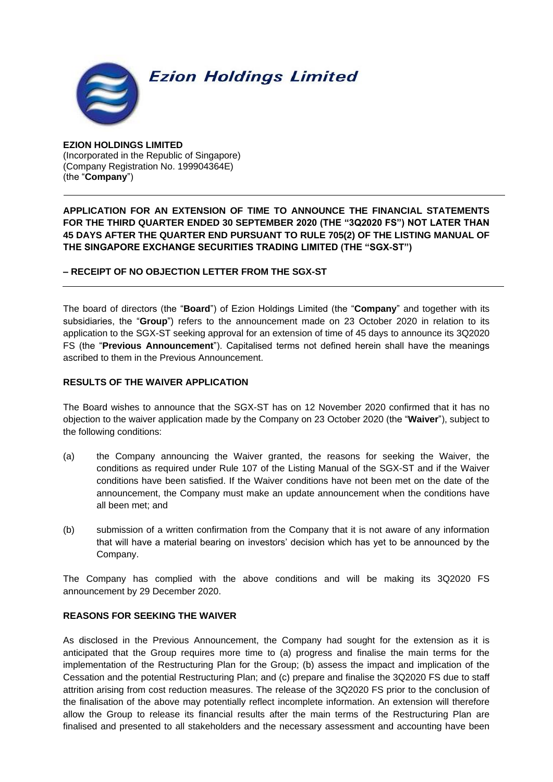

# **Ezion Holdings Limited**

**EZION HOLDINGS LIMITED** (Incorporated in the Republic of Singapore) (Company Registration No. 199904364E) (the "**Company**")

**APPLICATION FOR AN EXTENSION OF TIME TO ANNOUNCE THE FINANCIAL STATEMENTS FOR THE THIRD QUARTER ENDED 30 SEPTEMBER 2020 (THE "3Q2020 FS") NOT LATER THAN 45 DAYS AFTER THE QUARTER END PURSUANT TO RULE 705(2) OF THE LISTING MANUAL OF THE SINGAPORE EXCHANGE SECURITIES TRADING LIMITED (THE "SGX-ST")**

**– RECEIPT OF NO OBJECTION LETTER FROM THE SGX-ST**

The board of directors (the "**Board**") of Ezion Holdings Limited (the "**Company**" and together with its subsidiaries, the "**Group**") refers to the announcement made on 23 October 2020 in relation to its application to the SGX-ST seeking approval for an extension of time of 45 days to announce its 3Q2020 FS (the "**Previous Announcement**"). Capitalised terms not defined herein shall have the meanings ascribed to them in the Previous Announcement.

# **RESULTS OF THE WAIVER APPLICATION**

The Board wishes to announce that the SGX-ST has on 12 November 2020 confirmed that it has no objection to the waiver application made by the Company on 23 October 2020 (the "**Waiver**"), subject to the following conditions:

- (a) the Company announcing the Waiver granted, the reasons for seeking the Waiver, the conditions as required under Rule 107 of the Listing Manual of the SGX-ST and if the Waiver conditions have been satisfied. If the Waiver conditions have not been met on the date of the announcement, the Company must make an update announcement when the conditions have all been met; and
- (b) submission of a written confirmation from the Company that it is not aware of any information that will have a material bearing on investors' decision which has yet to be announced by the Company.

The Company has complied with the above conditions and will be making its 3Q2020 FS announcement by 29 December 2020.

# **REASONS FOR SEEKING THE WAIVER**

As disclosed in the Previous Announcement, the Company had sought for the extension as it is anticipated that the Group requires more time to (a) progress and finalise the main terms for the implementation of the Restructuring Plan for the Group; (b) assess the impact and implication of the Cessation and the potential Restructuring Plan; and (c) prepare and finalise the 3Q2020 FS due to staff attrition arising from cost reduction measures. The release of the 3Q2020 FS prior to the conclusion of the finalisation of the above may potentially reflect incomplete information. An extension will therefore allow the Group to release its financial results after the main terms of the Restructuring Plan are finalised and presented to all stakeholders and the necessary assessment and accounting have been